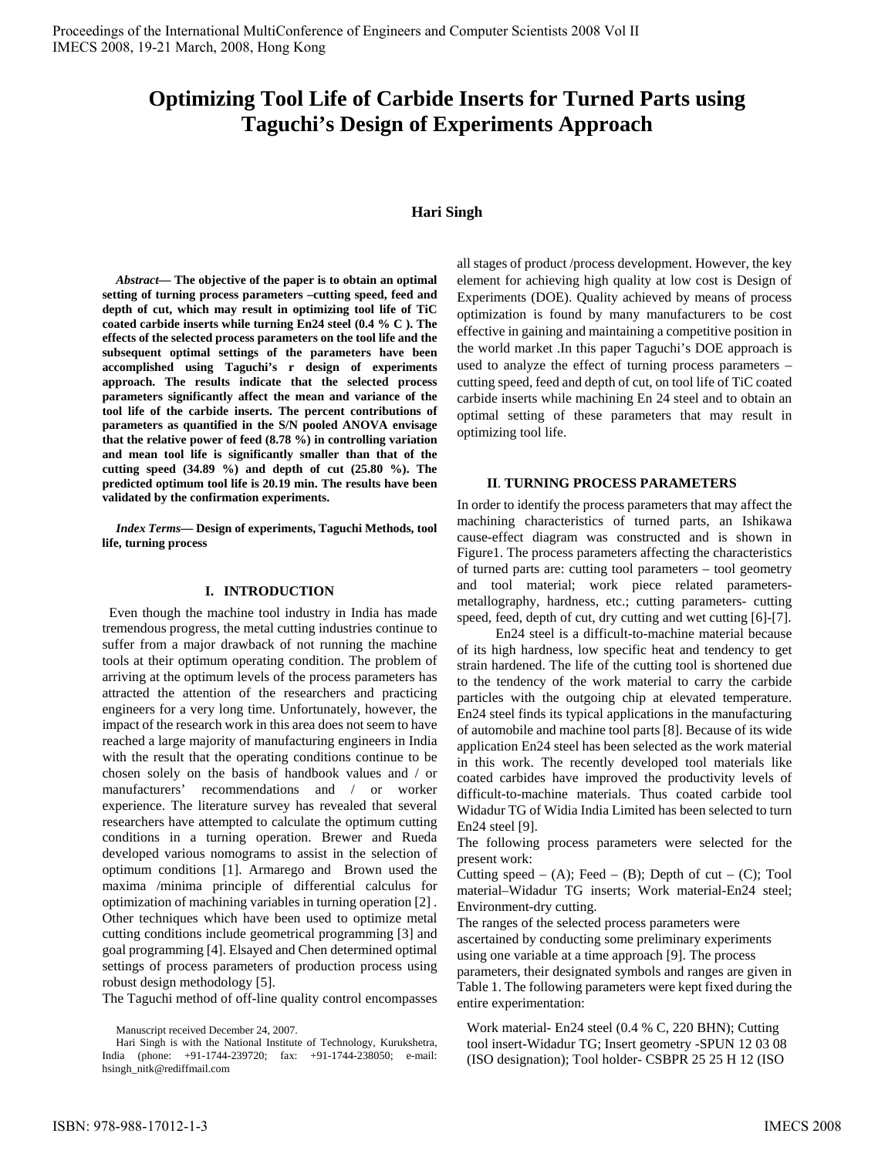# **Optimizing Tool Life of Carbide Inserts for Turned Parts using Taguchi's Design of Experiments Approach**

## **Hari Singh**

*Abstract***— The objective of the paper is to obtain an optimal setting of turning process parameters –cutting speed, feed and depth of cut, which may result in optimizing tool life of TiC coated carbide inserts while turning En24 steel (0.4 % C ). The effects of the selected process parameters on the tool life and the subsequent optimal settings of the parameters have been accomplished using Taguchi's r design of experiments approach. The results indicate that the selected process parameters significantly affect the mean and variance of the tool life of the carbide inserts. The percent contributions of parameters as quantified in the S/N pooled ANOVA envisage that the relative power of feed (8.78 %) in controlling variation and mean tool life is significantly smaller than that of the cutting speed (34.89 %) and depth of cut (25.80 %). The predicted optimum tool life is 20.19 min. The results have been validated by the confirmation experiments.** 

*Index Terms***— Design of experiments, Taguchi Methods, tool life, turning process** 

## **I. INTRODUCTION**

 Even though the machine tool industry in India has made tremendous progress, the metal cutting industries continue to suffer from a major drawback of not running the machine tools at their optimum operating condition. The problem of arriving at the optimum levels of the process parameters has attracted the attention of the researchers and practicing engineers for a very long time. Unfortunately, however, the impact of the research work in this area does not seem to have reached a large majority of manufacturing engineers in India with the result that the operating conditions continue to be chosen solely on the basis of handbook values and / or manufacturers' recommendations and / or worker experience. The literature survey has revealed that several researchers have attempted to calculate the optimum cutting conditions in a turning operation. Brewer and Rueda developed various nomograms to assist in the selection of optimum conditions [1]. Armarego and Brown used the maxima /minima principle of differential calculus for optimization of machining variables in turning operation [2] . Other techniques which have been used to optimize metal cutting conditions include geometrical programming [3] and goal programming [4]. Elsayed and Chen determined optimal settings of process parameters of production process using robust design methodology [5].

The Taguchi method of off-line quality control encompasses

all stages of product /process development. However, the key element for achieving high quality at low cost is Design of Experiments (DOE). Quality achieved by means of process optimization is found by many manufacturers to be cost effective in gaining and maintaining a competitive position in the world market .In this paper Taguchi's DOE approach is used to analyze the effect of turning process parameters – cutting speed, feed and depth of cut, on tool life of TiC coated carbide inserts while machining En 24 steel and to obtain an optimal setting of these parameters that may result in optimizing tool life.

# **II**. **TURNING PROCESS PARAMETERS**

In order to identify the process parameters that may affect the machining characteristics of turned parts, an Ishikawa cause-effect diagram was constructed and is shown in Figure1. The process parameters affecting the characteristics of turned parts are: cutting tool parameters – tool geometry and tool material; work piece related parametersmetallography, hardness, etc.; cutting parameters- cutting speed, feed, depth of cut, dry cutting and wet cutting [6]-[7].

 En24 steel is a difficult-to-machine material because of its high hardness, low specific heat and tendency to get strain hardened. The life of the cutting tool is shortened due to the tendency of the work material to carry the carbide particles with the outgoing chip at elevated temperature. En24 steel finds its typical applications in the manufacturing of automobile and machine tool parts [8]. Because of its wide application En24 steel has been selected as the work material in this work. The recently developed tool materials like coated carbides have improved the productivity levels of difficult-to-machine materials. Thus coated carbide tool Widadur TG of Widia India Limited has been selected to turn En24 steel [9].

The following process parameters were selected for the present work:

Cutting speed – (A); Feed – (B); Depth of cut – (C); Tool material–Widadur TG inserts; Work material-En24 steel; Environment-dry cutting.

The ranges of the selected process parameters were ascertained by conducting some preliminary experiments using one variable at a time approach [9]. The process parameters, their designated symbols and ranges are given in Table 1. The following parameters were kept fixed during the entire experimentation:

Work material- En24 steel (0.4 % C, 220 BHN); Cutting tool insert-Widadur TG; Insert geometry -SPUN 12 03 08 (ISO designation); Tool holder- CSBPR 25 25 H 12 (ISO

Manuscript received December 24, 2007.

Hari Singh is with the National Institute of Technology, Kurukshetra, India (phone: +91-1744-239720; fax: +91-1744-238050; e-mail: hsingh\_nitk@rediffmail.com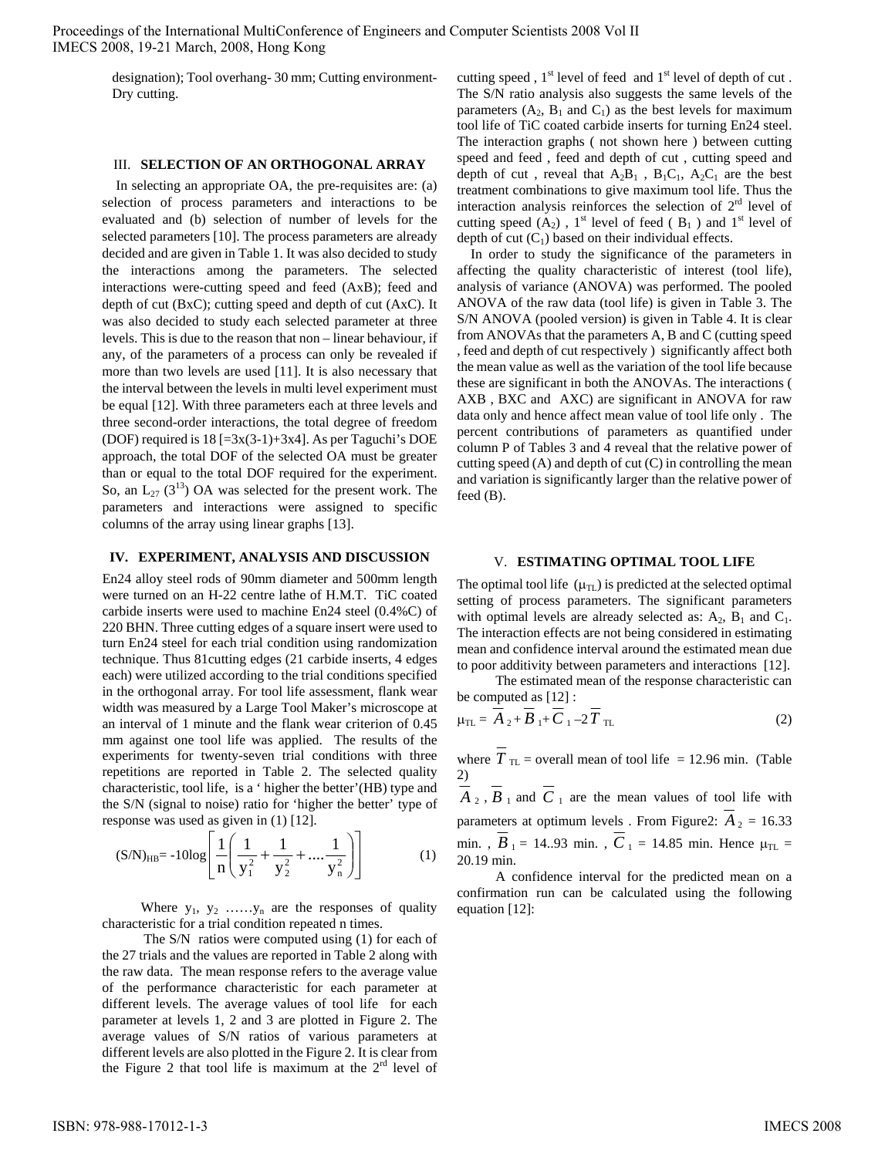> designation); Tool overhang- 30 mm; Cutting environment-Dry cutting.

#### III. **SELECTION OF AN ORTHOGONAL ARRAY**

In selecting an appropriate OA, the pre-requisites are: (a) selection of process parameters and interactions to be evaluated and (b) selection of number of levels for the selected parameters [10]. The process parameters are already decided and are given in Table 1. It was also decided to study the interactions among the parameters. The selected interactions were-cutting speed and feed (AxB); feed and depth of cut (BxC); cutting speed and depth of cut (AxC). It was also decided to study each selected parameter at three levels. This is due to the reason that non – linear behaviour, if any, of the parameters of a process can only be revealed if more than two levels are used [11]. It is also necessary that the interval between the levels in multi level experiment must be equal [12]. With three parameters each at three levels and three second-order interactions, the total degree of freedom (DOF) required is  $18$  [=3x(3-1)+3x4]. As per Taguchi's DOE approach, the total DOF of the selected OA must be greater than or equal to the total DOF required for the experiment. So, an  $L_{27}$  (3<sup>13</sup>) OA was selected for the present work. The parameters and interactions were assigned to specific columns of the array using linear graphs [13].

## **IV. EXPERIMENT, ANALYSIS AND DISCUSSION**

En24 alloy steel rods of 90mm diameter and 500mm length were turned on an H-22 centre lathe of H.M.T. TiC coated carbide inserts were used to machine En24 steel (0.4%C) of 220 BHN. Three cutting edges of a square insert were used to turn En24 steel for each trial condition using randomization technique. Thus 81cutting edges (21 carbide inserts, 4 edges each) were utilized according to the trial conditions specified in the orthogonal array. For tool life assessment, flank wear width was measured by a Large Tool Maker's microscope at an interval of 1 minute and the flank wear criterion of 0.45 mm against one tool life was applied. The results of the experiments for twenty-seven trial conditions with three repetitions are reported in Table 2. The selected quality characteristic, tool life, is a ' higher the better'(HB) type and the S/N (signal to noise) ratio for 'higher the better' type of response was used as given in (1) [12].

$$
(S/N)_{HB} = -10\log\left[\frac{1}{n}\left(\frac{1}{y_1^2} + \frac{1}{y_2^2} + \dots + \frac{1}{y_n^2}\right)\right]
$$
 (1)

Where  $y_1, y_2, \ldots, y_n$  are the responses of quality characteristic for a trial condition repeated n times.

 The S/N ratios were computed using (1) for each of the 27 trials and the values are reported in Table 2 along with the raw data. The mean response refers to the average value of the performance characteristic for each parameter at different levels. The average values of tool life for each parameter at levels 1, 2 and 3 are plotted in Figure 2. The average values of S/N ratios of various parameters at different levels are also plotted in the Figure 2. It is clear from the Figure 2 that tool life is maximum at the  $2<sup>rd</sup>$  level of cutting speed,  $1<sup>st</sup>$  level of feed and  $1<sup>st</sup>$  level of depth of cut. The S/N ratio analysis also suggests the same levels of the parameters  $(A_2, B_1 \text{ and } C_1)$  as the best levels for maximum tool life of TiC coated carbide inserts for turning En24 steel. The interaction graphs ( not shown here ) between cutting speed and feed , feed and depth of cut , cutting speed and depth of cut, reveal that  $A_2B_1$ ,  $B_1C_1$ ,  $A_2C_1$  are the best treatment combinations to give maximum tool life. Thus the interaction analysis reinforces the selection of  $2<sup>rd</sup>$  level of cutting speed  $(A_2)$ , 1<sup>st</sup> level of feed ( $B_1$ ) and 1<sup>st</sup> level of depth of cut  $(C_1)$  based on their individual effects.

 In order to study the significance of the parameters in affecting the quality characteristic of interest (tool life), analysis of variance (ANOVA) was performed. The pooled ANOVA of the raw data (tool life) is given in Table 3. The S/N ANOVA (pooled version) is given in Table 4. It is clear from ANOVAs that the parameters A, B and C (cutting speed , feed and depth of cut respectively ) significantly affect both the mean value as well as the variation of the tool life because these are significant in both the ANOVAs. The interactions ( AXB , BXC and AXC) are significant in ANOVA for raw data only and hence affect mean value of tool life only . The percent contributions of parameters as quantified under column P of Tables 3 and 4 reveal that the relative power of cutting speed (A) and depth of cut (C) in controlling the mean and variation is significantly larger than the relative power of feed (B).

### V. **ESTIMATING OPTIMAL TOOL LIFE**

The optimal tool life  $(\mu_{TL})$  is predicted at the selected optimal setting of process parameters. The significant parameters with optimal levels are already selected as:  $A_2$ ,  $B_1$  and  $C_1$ . The interaction effects are not being considered in estimating mean and confidence interval around the estimated mean due to poor additivity between parameters and interactions [12].

 The estimated mean of the response characteristic can be computed as [12] :

$$
\mu_{\text{TL}} = \overline{A}_{2} + \overline{B}_{1} + \overline{C}_{1} - 2\overline{T}_{\text{TL}} \tag{2}
$$

where  $\overline{T}_{\text{TL}}$  = overall mean of tool life = 12.96 min. (Table 2)

 $\overline{A}_2$ ,  $\overline{B}_1$  and  $\overline{C}_1$  are the mean values of tool life with parameters at optimum levels . From Figure2:  $A_2 = 16.33$ min. ,  $\overline{B}_1 = 14.93$  min. ,  $\overline{C}_1 = 14.85$  min. Hence  $\mu_{\text{TL}} =$ 20.19 min.

 A confidence interval for the predicted mean on a confirmation run can be calculated using the following equation [12]: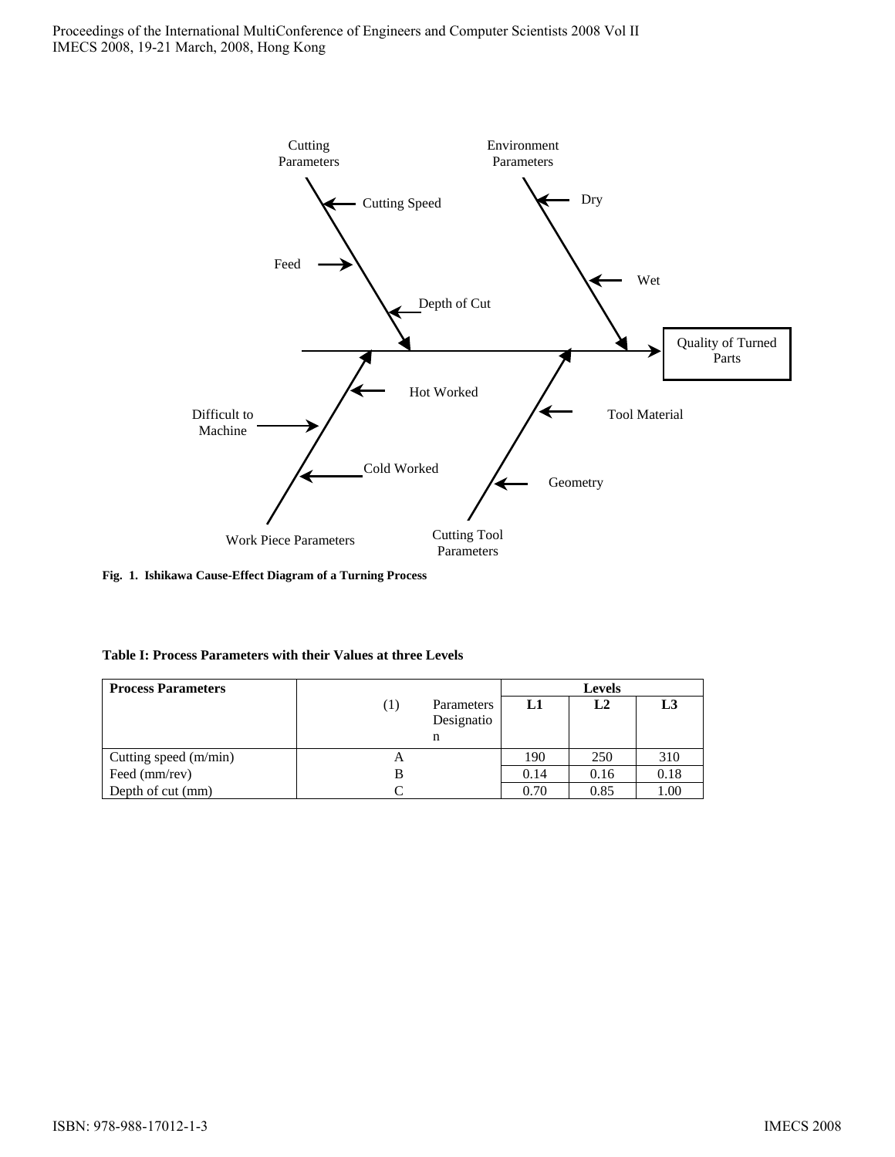

**Fig. 1. Ishikawa Cause-Effect Diagram of a Turning Process** 

| Table I: Process Parameters with their Values at three Levels |  |  |  |
|---------------------------------------------------------------|--|--|--|
|---------------------------------------------------------------|--|--|--|

| <b>Process Parameters</b> |                                                   | <b>Levels</b> |                |      |  |
|---------------------------|---------------------------------------------------|---------------|----------------|------|--|
|                           | Parameters<br>$\left(1\right)$<br>Designatio<br>n | L1            | L <sub>2</sub> | L3   |  |
| Cutting speed $(m/min)$   | $\mathsf{A}$                                      | 190           | 250            | 310  |  |
| Feed (mm/rev)             | B                                                 | 0.14          | 0.16           | 0.18 |  |
| Depth of cut (mm)         |                                                   | 0.70          | 0.85           | 1.00 |  |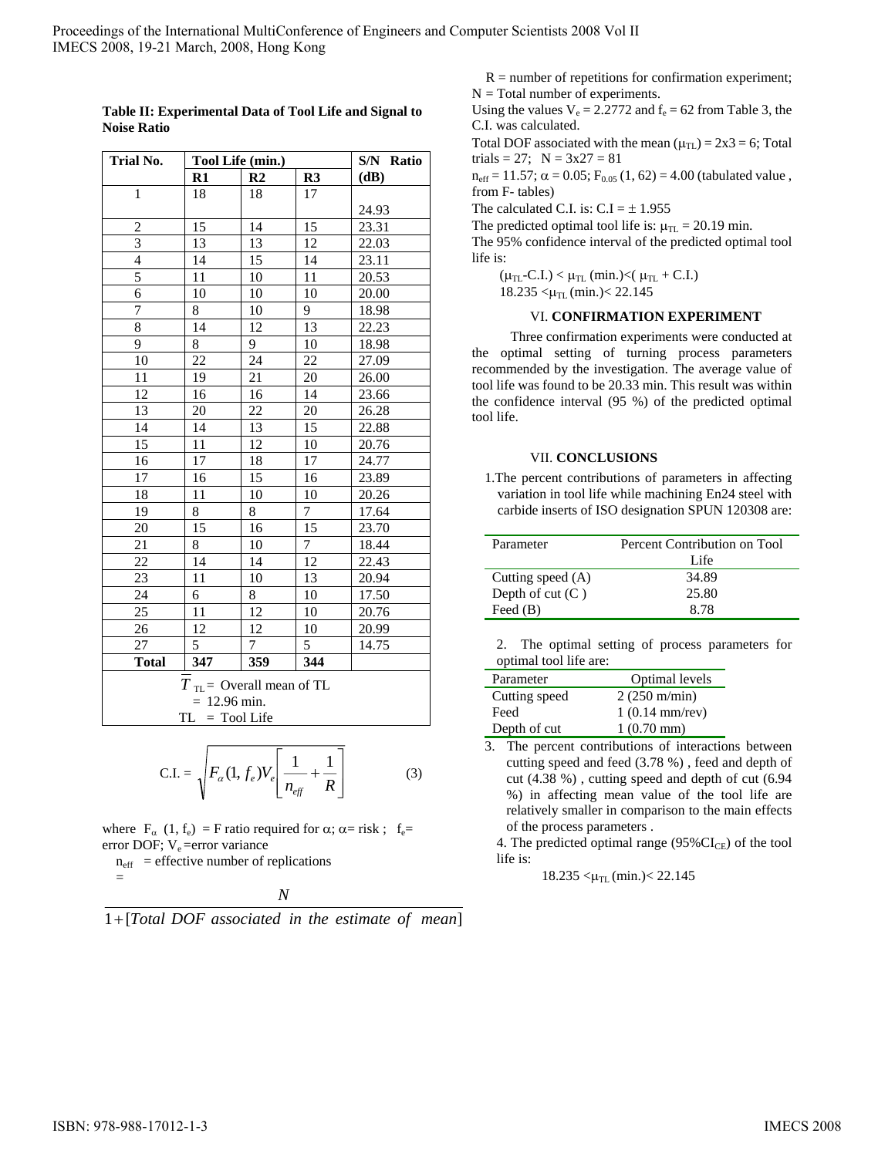| Trial No.                            | Tool Life (min.) |                |                | S/N Ratio |  |
|--------------------------------------|------------------|----------------|----------------|-----------|--|
|                                      | R1               | R <sub>2</sub> | R3             | (dB)      |  |
| $\mathbf{1}$                         | 18               | 18             | 17             |           |  |
|                                      |                  |                |                | 24.93     |  |
| $\overline{\mathbf{c}}$              | 15               | 14             | 15             | 23.31     |  |
| $\overline{3}$                       | 13               | 13             | 12             | 22.03     |  |
| $\frac{4}{5}$                        | 14               | 15             | 14             | 23.11     |  |
|                                      | 11               | 10             | 11             | 20.53     |  |
| 6                                    | 10               | 10             | 10             | 20.00     |  |
| $\overline{7}$                       | 8                | 10             | 9              | 18.98     |  |
| 8                                    | 14               | 12             | 13             | 22.23     |  |
| 9                                    | 8                | 9              | 10             | 18.98     |  |
| 10                                   | 22               | 24             | 22             | 27.09     |  |
| 11                                   | 19               | 21             | $20\,$         | 26.00     |  |
| 12                                   | 16               | 16             | 14             | 23.66     |  |
| 13                                   | 20               | 22             | 20             | 26.28     |  |
| 14                                   | 14               | 13             | 15             | 22.88     |  |
| 15                                   | 11               | 12             | 10             | 20.76     |  |
| 16                                   | 17               | 18             | 17             | 24.77     |  |
| 17                                   | 16               | 15             | 16             | 23.89     |  |
| 18                                   | 11               | 10             | 10             | 20.26     |  |
| 19                                   | 8                | 8              | $\overline{7}$ | 17.64     |  |
| 20                                   | 15               | 16             | 15             | 23.70     |  |
| 21                                   | 8                | 10             | 7              | 18.44     |  |
| 22                                   | 14               | 14             | 12             | 22.43     |  |
| 23                                   | 11               | 10             | 13             | 20.94     |  |
| 24                                   | 6                | 8              | 10             | 17.50     |  |
| 25                                   | 11               | 12             | 10             | 20.76     |  |
| 26                                   | 12               | 12             | 10             | 20.99     |  |
| 27                                   | 5                | 7              | 5              | 14.75     |  |
| <b>Total</b>                         | 347              | 359            | 344            |           |  |
| $T_{\text{TL}}$ = Overall mean of TL |                  |                |                |           |  |
| $= 12.96 \text{ min.}$               |                  |                |                |           |  |
|                                      | $TL = Tool Life$ |                |                |           |  |

**Table II: Experimental Data of Tool Life and Signal to Noise Ratio**

$$
\text{C.I.} = \sqrt{F_{\alpha}(1, f_e)V_e} \left[ \frac{1}{n_{\text{eff}}} + \frac{1}{R} \right] \tag{3}
$$

where  $F_{\alpha}$  (1, f<sub>e</sub>) = F ratio required for  $\alpha$ ;  $\alpha$ = risk; f<sub>e</sub>= error DOF; V<sub>e</sub> = error variance

 $n_{\text{eff}}$  = effective number of replications

=

$$
f_{\rm{max}}
$$

1 [*Total DOF associated in the estimate of mean*] + *N*

 $R =$  number of repetitions for confirmation experiment;  $N = Total number of experiments.$ 

Using the values  $V_e = 2.2772$  and  $f_e = 62$  from Table 3, the C.I. was calculated.

Total DOF associated with the mean  $(\mu_{\text{TL}}) = 2x3 = 6$ ; Total trials = 27;  $N = 3x27 = 81$ 

 $n_{\text{eff}} = 11.57$ ;  $\alpha = 0.05$ ;  $F_{0.05}$  (1, 62) = 4.00 (tabulated value, from F- tables)

The calculated C.I. is:  $C.I = \pm 1.955$ 

The predicted optimal tool life is:  $\mu_{\text{TL}} = 20.19$  min.

The 95% confidence interval of the predicted optimal tool life is:

 $(\mu_{TL}$ -C.I.) <  $\mu_{TL}$  (min.) < ( $\mu_{TL}$  + C.I.)

 $18.235 < \mu_{TL}$  (min.) $< 22.145$ 

# VI. **CONFIRMATION EXPERIMENT**

 Three confirmation experiments were conducted at the optimal setting of turning process parameters recommended by the investigation. The average value of tool life was found to be 20.33 min. This result was within the confidence interval (95 %) of the predicted optimal tool life.

# VII. **CONCLUSIONS**

1.The percent contributions of parameters in affecting variation in tool life while machining En24 steel with carbide inserts of ISO designation SPUN 120308 are:

| Parameter         | Percent Contribution on Tool |  |  |
|-------------------|------------------------------|--|--|
|                   | Life                         |  |  |
| Cutting speed (A) | 34.89                        |  |  |
| Depth of $cut(C)$ | 25.80                        |  |  |
| Feed $(B)$        | 8.78                         |  |  |

2. The optimal setting of process parameters for optimal tool life are:

| Parameter     | Optimal levels           |
|---------------|--------------------------|
| Cutting speed | $2(250 \text{ m/min})$   |
| Feed          | $1(0.14 \text{ mm/rev})$ |
| Depth of cut  | $1(0.70 \text{ mm})$     |

3. The percent contributions of interactions between cutting speed and feed (3.78 %) , feed and depth of cut (4.38 %) , cutting speed and depth of cut (6.94 %) in affecting mean value of the tool life are relatively smaller in comparison to the main effects of the process parameters .

4. The predicted optimal range  $(95\% CI_{CE})$  of the tool life is:

 $18.235 < \mu_{TL}$  (min.) $< 22.145$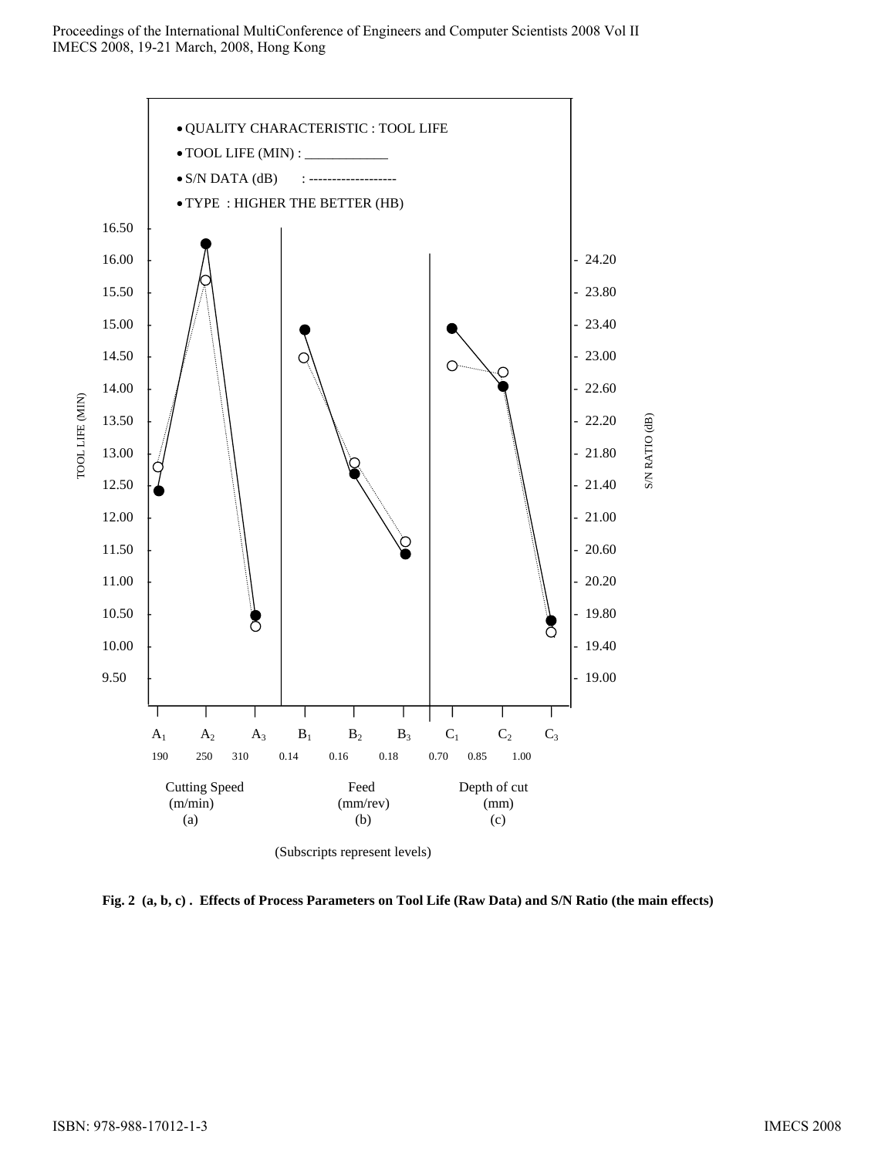

**Fig. 2 (a, b, c) . Effects of Process Parameters on Tool Life (Raw Data) and S/N Ratio (the main effects)**